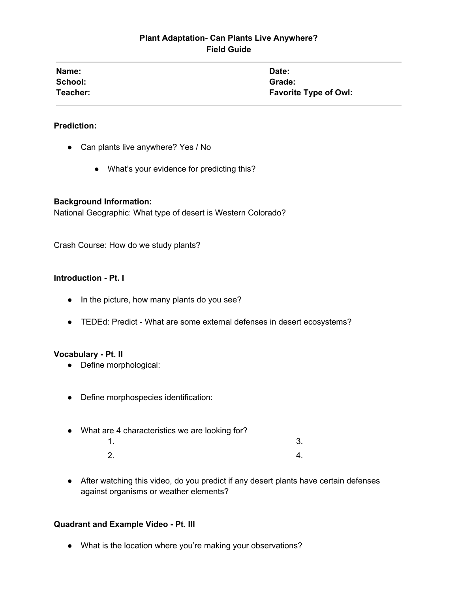## **Plant Adaptation- Can Plants Live Anywhere? Field Guide**

| Name:    | Date:                        |
|----------|------------------------------|
| School:  | Grade:                       |
| Teacher: | <b>Favorite Type of Owl:</b> |

### **Prediction:**

- Can plants live anywhere? Yes / No
	- What's your evidence for predicting this?

#### **Background Information:**

National Geographic: What type of desert is Western Colorado?

Crash Course: How do we study plants?

#### **Introduction - Pt. I**

- In the picture, how many plants do you see?
- TEDEd: Predict What are some external defenses in desert ecosystems?

#### **Vocabulary - Pt. II**

- Define morphological:
- Define morphospecies identification:
- What are 4 characteristics we are looking for?  $1.$  3.
	- $2.$  4.
- After watching this video, do you predict if any desert plants have certain defenses against organisms or weather elements?

#### **Quadrant and Example Video - Pt. III**

● What is the location where you're making your observations?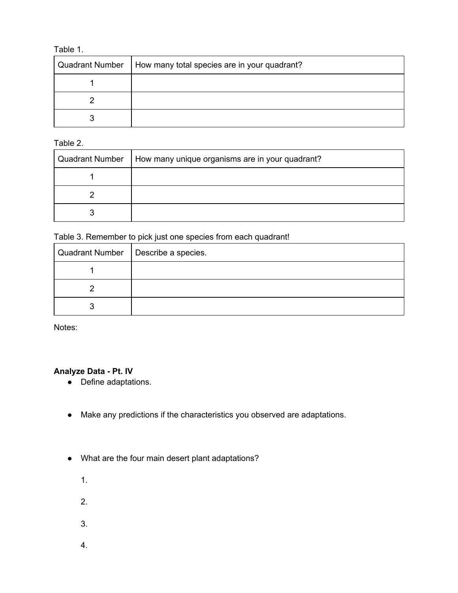### Table 1.

| <b>Quadrant Number</b> | How many total species are in your quadrant? |
|------------------------|----------------------------------------------|
|                        |                                              |
|                        |                                              |
|                        |                                              |

Table 2.

| <b>Quadrant Number</b> | How many unique organisms are in your quadrant? |
|------------------------|-------------------------------------------------|
|                        |                                                 |
|                        |                                                 |
|                        |                                                 |

Table 3. Remember to pick just one species from each quadrant!

| Quadrant Number   Describe a species. |
|---------------------------------------|
|                                       |
|                                       |
|                                       |

Notes:

### **Analyze Data - Pt. IV**

- Define adaptations.
- Make any predictions if the characteristics you observed are adaptations.
- What are the four main desert plant adaptations?
	- 1.
	-
	- 2.
	- 3.
	- 4.